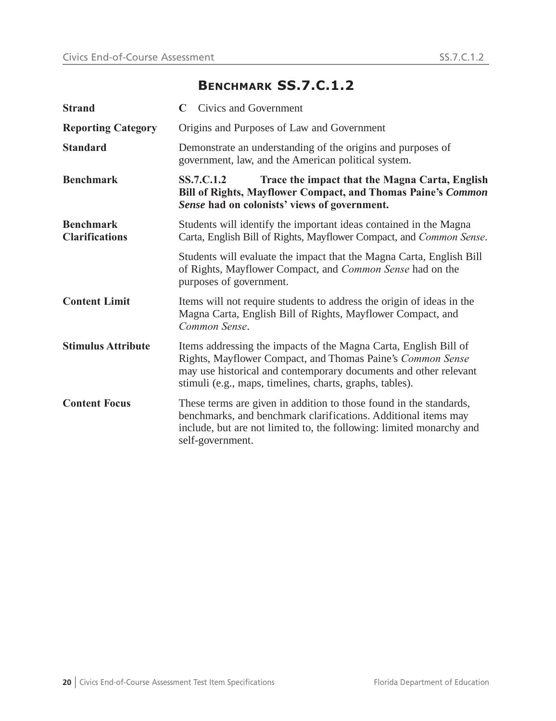## **BENCHMARK SS.7.C.1.2**

| <b>Strand</b>                             | Civics and Government                                                                                                                                                                                                                                          |
|-------------------------------------------|----------------------------------------------------------------------------------------------------------------------------------------------------------------------------------------------------------------------------------------------------------------|
| <b>Reporting Category</b>                 | Origins and Purposes of Law and Government                                                                                                                                                                                                                     |
| <b>Standard</b>                           | Demonstrate an understanding of the origins and purposes of<br>government, law, and the American political system.                                                                                                                                             |
| <b>Benchmark</b>                          | SS.7.C.1.2<br>Trace the impact that the Magna Carta, English<br>Bill of Rights, Mayflower Compact, and Thomas Paine's Common<br>Sense had on colonists' views of government.                                                                                   |
| <b>Benchmark</b><br><b>Clarifications</b> | Students will identify the important ideas contained in the Magna<br>Carta, English Bill of Rights, Mayflower Compact, and Common Sense.                                                                                                                       |
|                                           | Students will evaluate the impact that the Magna Carta, English Bill<br>of Rights, Mayflower Compact, and Common Sense had on the<br>purposes of government.                                                                                                   |
| <b>Content Limit</b>                      | Items will not require students to address the origin of ideas in the<br>Magna Carta, English Bill of Rights, Mayflower Compact, and<br>Common Sense.                                                                                                          |
| <b>Stimulus Attribute</b>                 | Items addressing the impacts of the Magna Carta, English Bill of<br>Rights, Mayflower Compact, and Thomas Paine's Common Sense<br>may use historical and contemporary documents and other relevant<br>stimuli (e.g., maps, timelines, charts, graphs, tables). |
| <b>Content Focus</b>                      | These terms are given in addition to those found in the standards,<br>benchmarks, and benchmark clarifications. Additional items may<br>include, but are not limited to, the following: limited monarchy and<br>self-government.                               |